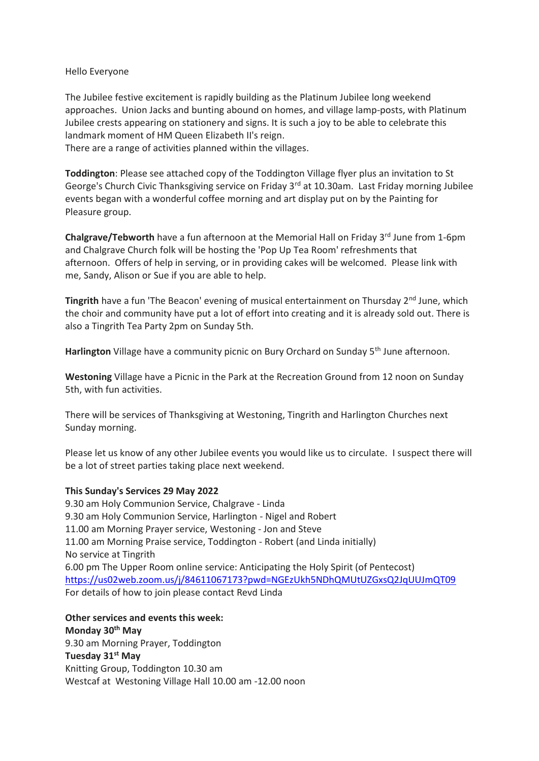## Hello Everyone

The Jubilee festive excitement is rapidly building as the Platinum Jubilee long weekend approaches. Union Jacks and bunting abound on homes, and village lamp-posts, with Platinum Jubilee crests appearing on stationery and signs. It is such a joy to be able to celebrate this landmark moment of HM Queen Elizabeth II's reign.

There are a range of activities planned within the villages.

**Toddington**: Please see attached copy of the Toddington Village flyer plus an invitation to St George's Church Civic Thanksgiving service on Friday 3<sup>rd</sup> at 10.30am. Last Friday morning Jubilee events began with a wonderful coffee morning and art display put on by the Painting for Pleasure group.

**Chalgrave/Tebworth** have a fun afternoon at the Memorial Hall on Friday 3<sup>rd</sup> June from 1-6pm and Chalgrave Church folk will be hosting the 'Pop Up Tea Room' refreshments that afternoon. Offers of help in serving, or in providing cakes will be welcomed. Please link with me, Sandy, Alison or Sue if you are able to help.

**Tingrith** have a fun 'The Beacon' evening of musical entertainment on Thursday 2<sup>nd</sup> June, which the choir and community have put a lot of effort into creating and it is already sold out. There is also a Tingrith Tea Party 2pm on Sunday 5th.

Harlington Village have a community picnic on Bury Orchard on Sunday 5<sup>th</sup> June afternoon.

**Westoning** Village have a Picnic in the Park at the Recreation Ground from 12 noon on Sunday 5th, with fun activities.

There will be services of Thanksgiving at Westoning, Tingrith and Harlington Churches next Sunday morning.

Please let us know of any other Jubilee events you would like us to circulate. I suspect there will be a lot of street parties taking place next weekend.

## **This Sunday's Services 29 May 2022**

9.30 am Holy Communion Service, Chalgrave - Linda 9.30 am Holy Communion Service, Harlington - Nigel and Robert 11.00 am Morning Prayer service, Westoning - Jon and Steve 11.00 am Morning Praise service, Toddington - Robert (and Linda initially) No service at Tingrith 6.00 pm The Upper Room online service: Anticipating the Holy Spirit (of Pentecost) [https://us02web.zoom.us/j/84611067173?pwd=NGEzUkh5NDhQMUtUZGxsQ2JqUUJmQT09](https://nam12.safelinks.protection.outlook.com/?url=https%3A%2F%2Fus02web.zoom.us%2Fj%2F84611067173%3Fpwd%3DNGEzUkh5NDhQMUtUZGxsQ2JqUUJmQT09&data=05%7C01%7C%7C6ceb6037121b426d217f08da40c2d7d4%7C84df9e7fe9f640afb435aaaaaaaaaaaa%7C1%7C0%7C637893502831937273%7CUnknown%7CTWFpbGZsb3d8eyJWIjoiMC4wLjAwMDAiLCJQIjoiV2luMzIiLCJBTiI6Ik1haWwiLCJXVCI6Mn0%3D%7C3000%7C%7C%7C&sdata=SLJZJR6dZvOVxvCleXThNHUMsYIICwNi%2B4VqbP7xs5w%3D&reserved=0) For details of how to join please contact Revd Linda

**Other services and events this week: Monday 30th May** 9.30 am Morning Prayer, Toddington **Tuesday 31st May** Knitting Group, Toddington 10.30 am Westcaf at Westoning Village Hall 10.00 am -12.00 noon